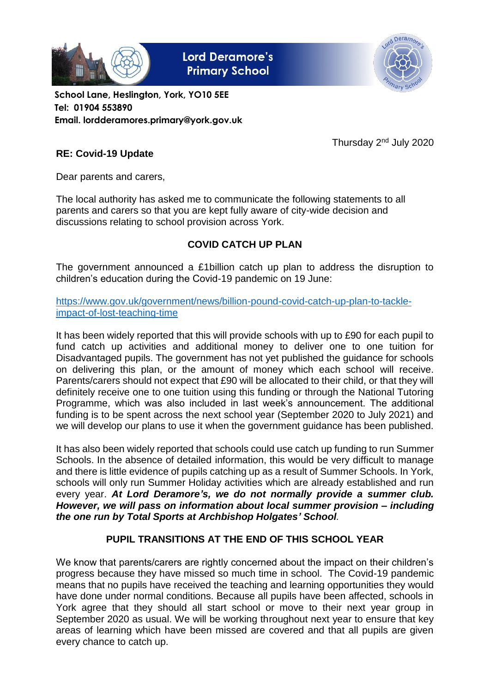

**Lord Deramore's Primary School** 



**School Lane, Heslington, York, YO10 5EE Tel: 01904 553890 Email. lordderamores.primary@york.gov.uk**

Thursday 2nd July 2020

## **RE: Covid-19 Update**

Dear parents and carers,

The local authority has asked me to communicate the following statements to all parents and carers so that you are kept fully aware of city-wide decision and discussions relating to school provision across York.

# **COVID CATCH UP PLAN**

The government announced a £1billion catch up plan to address the disruption to children's education during the Covid-19 pandemic on 19 June:

[https://www.gov.uk/government/news/billion-pound-covid-catch-up-plan-to-tackle](https://www.gov.uk/government/news/billion-pound-covid-catch-up-plan-to-tackle-impact-of-lost-teaching-time)[impact-of-lost-teaching-time](https://www.gov.uk/government/news/billion-pound-covid-catch-up-plan-to-tackle-impact-of-lost-teaching-time)

It has been widely reported that this will provide schools with up to £90 for each pupil to fund catch up activities and additional money to deliver one to one tuition for Disadvantaged pupils. The government has not yet published the guidance for schools on delivering this plan, or the amount of money which each school will receive. Parents/carers should not expect that £90 will be allocated to their child, or that they will definitely receive one to one tuition using this funding or through the National Tutoring Programme, which was also included in last week's announcement. The additional funding is to be spent across the next school year (September 2020 to July 2021) and we will develop our plans to use it when the government guidance has been published.

It has also been widely reported that schools could use catch up funding to run Summer Schools. In the absence of detailed information, this would be very difficult to manage and there is little evidence of pupils catching up as a result of Summer Schools. In York, schools will only run Summer Holiday activities which are already established and run every year. *At Lord Deramore's, we do not normally provide a summer club. However, we will pass on information about local summer provision – including the one run by Total Sports at Archbishop Holgates' School.* 

## **PUPIL TRANSITIONS AT THE END OF THIS SCHOOL YEAR**

We know that parents/carers are rightly concerned about the impact on their children's progress because they have missed so much time in school. The Covid-19 pandemic means that no pupils have received the teaching and learning opportunities they would have done under normal conditions. Because all pupils have been affected, schools in York agree that they should all start school or move to their next year group in September 2020 as usual. We will be working throughout next year to ensure that key areas of learning which have been missed are covered and that all pupils are given every chance to catch up.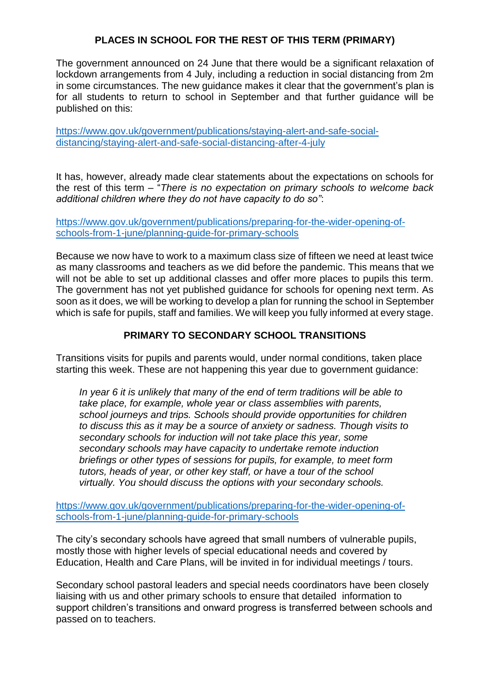## **PLACES IN SCHOOL FOR THE REST OF THIS TERM (PRIMARY)**

The government announced on 24 June that there would be a significant relaxation of lockdown arrangements from 4 July, including a reduction in social distancing from 2m in some circumstances. The new guidance makes it clear that the government's plan is for all students to return to school in September and that further guidance will be published on this:

[https://www.gov.uk/government/publications/staying-alert-and-safe-social](https://www.gov.uk/government/publications/staying-alert-and-safe-social-distancing/staying-alert-and-safe-social-distancing-after-4-july)[distancing/staying-alert-and-safe-social-distancing-after-4-july](https://www.gov.uk/government/publications/staying-alert-and-safe-social-distancing/staying-alert-and-safe-social-distancing-after-4-july)

It has, however, already made clear statements about the expectations on schools for the rest of this term – "*There is no expectation on primary schools to welcome back additional children where they do not have capacity to do so"*:

[https://www.gov.uk/government/publications/preparing-for-the-wider-opening-of](https://www.gov.uk/government/publications/preparing-for-the-wider-opening-of-schools-from-1-june/planning-guide-for-primary-schools)[schools-from-1-june/planning-guide-for-primary-schools](https://www.gov.uk/government/publications/preparing-for-the-wider-opening-of-schools-from-1-june/planning-guide-for-primary-schools)

Because we now have to work to a maximum class size of fifteen we need at least twice as many classrooms and teachers as we did before the pandemic. This means that we will not be able to set up additional classes and offer more places to pupils this term. The government has not yet published guidance for schools for opening next term. As soon as it does, we will be working to develop a plan for running the school in September which is safe for pupils, staff and families. We will keep you fully informed at every stage.

#### **PRIMARY TO SECONDARY SCHOOL TRANSITIONS**

Transitions visits for pupils and parents would, under normal conditions, taken place starting this week. These are not happening this year due to government guidance:

*In year 6 it is unlikely that many of the end of term traditions will be able to take place, for example, whole year or class assemblies with parents, school journeys and trips. Schools should provide opportunities for children to discuss this as it may be a source of anxiety or sadness. Though visits to secondary schools for induction will not take place this year, some secondary schools may have capacity to undertake remote induction briefings or other types of sessions for pupils, for example, to meet form tutors, heads of year, or other key staff, or have a tour of the school virtually. You should discuss the options with your secondary schools.* 

[https://www.gov.uk/government/publications/preparing-for-the-wider-opening-of](https://www.gov.uk/government/publications/preparing-for-the-wider-opening-of-schools-from-1-june/planning-guide-for-primary-schools)[schools-from-1-june/planning-guide-for-primary-schools](https://www.gov.uk/government/publications/preparing-for-the-wider-opening-of-schools-from-1-june/planning-guide-for-primary-schools)

The city's secondary schools have agreed that small numbers of vulnerable pupils, mostly those with higher levels of special educational needs and covered by Education, Health and Care Plans, will be invited in for individual meetings / tours.

Secondary school pastoral leaders and special needs coordinators have been closely liaising with us and other primary schools to ensure that detailed information to support children's transitions and onward progress is transferred between schools and passed on to teachers.